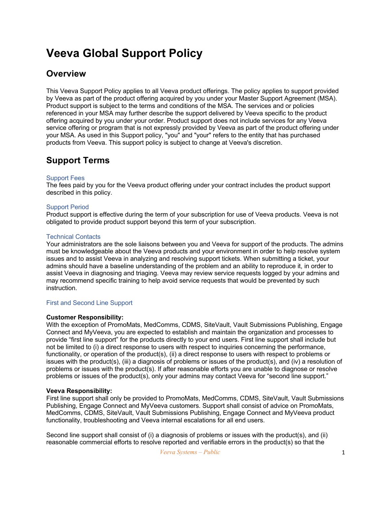# **Veeva Global Support Policy**

# **Overview**

This Veeva Support Policy applies to all Veeva product offerings. The policy applies to support provided by Veeva as part of the product offering acquired by you under your Master Support Agreement (MSA). Product support is subject to the terms and conditions of the MSA. The services and or policies referenced in your MSA may further describe the support delivered by Veeva specific to the product offering acquired by you under your order. Product support does not include services for any Veeva service offering or program that is not expressly provided by Veeva as part of the product offering under your MSA. As used in this Support policy, "you" and "your" refers to the entity that has purchased products from Veeva. This support policy is subject to change at Veeva's discretion.

# **Support Terms**

### Support Fees

The fees paid by you for the Veeva product offering under your contract includes the product support described in this policy.

### Support Period

Product support is effective during the term of your subscription for use of Veeva products. Veeva is not obligated to provide product support beyond this term of your subscription.

### Technical Contacts

Your administrators are the sole liaisons between you and Veeva for support of the products. The admins must be knowledgeable about the Veeva products and your environment in order to help resolve system issues and to assist Veeva in analyzing and resolving support tickets. When submitting a ticket, your admins should have a baseline understanding of the problem and an ability to reproduce it, in order to assist Veeva in diagnosing and triaging. Veeva may review service requests logged by your admins and may recommend specific training to help avoid service requests that would be prevented by such instruction.

### First and Second Line Support

### **Customer Responsibility:**

With the exception of PromoMats, MedComms, CDMS, SiteVault, Vault Submissions Publishing, Engage Connect and MyVeeva, you are expected to establish and maintain the organization and processes to provide "first line support" for the products directly to your end users. First line support shall include but not be limited to (i) a direct response to users with respect to inquiries concerning the performance, functionality, or operation of the product(s), (ii) a direct response to users with respect to problems or issues with the product(s), (iii) a diagnosis of problems or issues of the product(s), and (iv) a resolution of problems or issues with the product(s). If after reasonable efforts you are unable to diagnose or resolve problems or issues of the product(s), only your admins may contact Veeva for "second line support."

### **Veeva Responsibility:**

First line support shall only be provided to PromoMats, MedComms, CDMS, SiteVault, Vault Submissions Publishing, Engage Connect and MyVeeva customers. Support shall consist of advice on PromoMats, MedComms, CDMS, SiteVault, Vault Submissions Publishing, Engage Connect and MyVeeva product functionality, troubleshooting and Veeva internal escalations for all end users.

Second line support shall consist of (i) a diagnosis of problems or issues with the product(s), and (ii) reasonable commercial efforts to resolve reported and verifiable errors in the product(s) so that the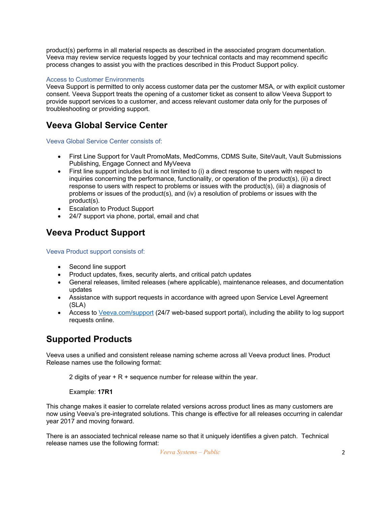product(s) performs in all material respects as described in the associated program documentation. Veeva may review service requests logged by your technical contacts and may recommend specific process changes to assist you with the practices described in this Product Support policy.

### Access to Customer Environments

Veeva Support is permitted to only access customer data per the customer MSA, or with explicit customer consent. Veeva Support treats the opening of a customer ticket as consent to allow Veeva Support to provide support services to a customer, and access relevant customer data only for the purposes of troubleshooting or providing support.

### **Veeva Global Service Center**

Veeva Global Service Center consists of:

- First Line Support for Vault PromoMats, MedComms, CDMS Suite, SiteVault, Vault Submissions Publishing, Engage Connect and MyVeeva
- First line support includes but is not limited to (i) a direct response to users with respect to inquiries concerning the performance, functionality, or operation of the product(s), (ii) a direct response to users with respect to problems or issues with the product(s), (iii) a diagnosis of problems or issues of the product(s), and (iv) a resolution of problems or issues with the product(s).
- Escalation to Product Support
- 24/7 support via phone, portal, email and chat

# **Veeva Product Support**

Veeva Product support consists of:

- Second line support
- Product updates, fixes, security alerts, and critical patch updates
- General releases, limited releases (where applicable), maintenance releases, and documentation updates
- Assistance with support requests in accordance with agreed upon Service Level Agreement (SLA)
- Access to Veeva.com/support (24/7 web-based support portal), including the ability to log support requests online.

### **Supported Products**

Veeva uses a unified and consistent release naming scheme across all Veeva product lines. Product Release names use the following format:

2 digits of year  $+ R +$  sequence number for release within the year.

Example: **17R1**

This change makes it easier to correlate related versions across product lines as many customers are now using Veeva's pre-integrated solutions. This change is effective for all releases occurring in calendar year 2017 and moving forward.

There is an associated technical release name so that it uniquely identifies a given patch. Technical release names use the following format: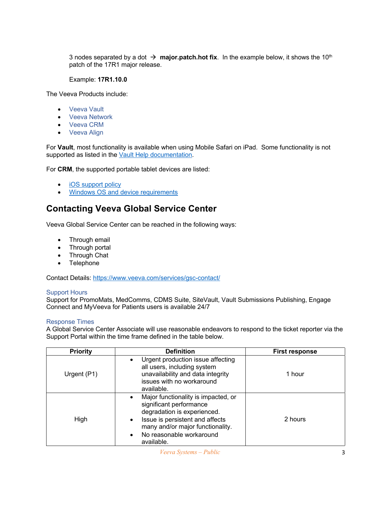3 nodes separated by a dot  $\rightarrow$  **major.patch.hot fix**. In the example below, it shows the 10<sup>th</sup> patch of the 17R1 major release.

#### Example: **17R1.10.0**

The Veeva Products include:

- Veeva Vault
- Veeva Network
- Veeva CRM
- Veeva Align

For **Vault**, most functionality is available when using Mobile Safari on iPad. Some functionality is not supported as listed in the Vault Help documentation.

For **CRM**, the supported portable tablet devices are listed:

- **iOS** support policy
- Windows OS and device requirements

### **Contacting Veeva Global Service Center**

Veeva Global Service Center can be reached in the following ways:

- Through email
- Through portal
- Through Chat
- Telephone

Contact Details: https://www.veeva.com/services/gsc-contact/

#### Support Hours

Support for PromoMats, MedComms, CDMS Suite, SiteVault, Vault Submissions Publishing, Engage Connect and MyVeeva for Patients users is available 24/7

#### Response Times

A Global Service Center Associate will use reasonable endeavors to respond to the ticket reporter via the Support Portal within the time frame defined in the table below.

| <b>Priority</b> | <b>Definition</b>                                                                                                                                                                                                                                     | <b>First response</b> |
|-----------------|-------------------------------------------------------------------------------------------------------------------------------------------------------------------------------------------------------------------------------------------------------|-----------------------|
| Urgent (P1)     | Urgent production issue affecting<br>$\bullet$<br>all users, including system<br>unavailability and data integrity<br>issues with no workaround<br>available.                                                                                         | 1 hour                |
| High            | Major functionality is impacted, or<br>$\bullet$<br>significant performance<br>degradation is experienced.<br>Issue is persistent and affects<br>$\bullet$<br>many and/or major functionality.<br>No reasonable workaround<br>$\bullet$<br>available. | 2 hours               |

*Veeva Systems – Public* 3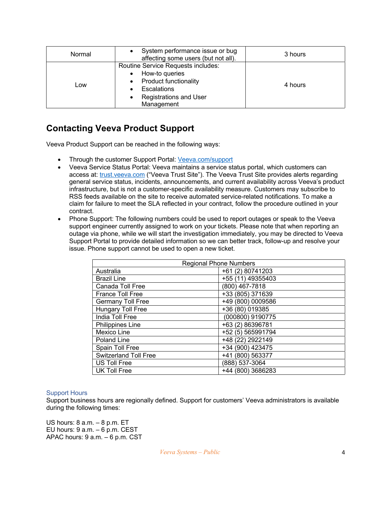| Normal | System performance issue or bug<br>affecting some users (but not all).                                                                             | 3 hours |
|--------|----------------------------------------------------------------------------------------------------------------------------------------------------|---------|
| Low    | Routine Service Requests includes:<br>How-to queries<br><b>Product functionality</b><br>Escalations<br><b>Registrations and User</b><br>Management | 4 hours |

# **Contacting Veeva Product Support**

Veeva Product Support can be reached in the following ways:

- Through the customer Support Portal: Veeva.com/support
- Veeva Service Status Portal: Veeva maintains a service status portal, which customers can access at: trust.veeva.com ("Veeva Trust Site"). The Veeva Trust Site provides alerts regarding general service status, incidents, announcements, and current availability across Veeva's product infrastructure, but is not a customer-specific availability measure. Customers may subscribe to RSS feeds available on the site to receive automated service-related notifications. To make a claim for failure to meet the SLA reflected in your contract, follow the procedure outlined in your contract.
- Phone Support: The following numbers could be used to report outages or speak to the Veeva support engineer currently assigned to work on your tickets. Please note that when reporting an outage via phone, while we will start the investigation immediately, you may be directed to Veeva Support Portal to provide detailed information so we can better track, follow-up and resolve your issue. Phone support cannot be used to open a new ticket.

| <b>Regional Phone Numbers</b> |                   |  |  |
|-------------------------------|-------------------|--|--|
| Australia                     | +61 (2) 80741203  |  |  |
| <b>Brazil Line</b>            | +55 (11) 49355403 |  |  |
| Canada Toll Free              | (800) 467-7818    |  |  |
| <b>France Toll Free</b>       | +33 (805) 371639  |  |  |
| <b>Germany Toll Free</b>      | +49 (800) 0009586 |  |  |
| Hungary Toll Free             | +36 (80) 019385   |  |  |
| India Toll Free               | (000800) 9190775  |  |  |
| <b>Philippines Line</b>       | +63 (2) 86396781  |  |  |
| Mexico Line                   | +52 (5) 565991794 |  |  |
| Poland Line                   | +48 (22) 2922149  |  |  |
| Spain Toll Free               | +34 (900) 423475  |  |  |
| <b>Switzerland Toll Free</b>  | +41 (800) 563377  |  |  |
| US Toll Free                  | (888) 537-3064    |  |  |
| <b>UK Toll Free</b>           | +44 (800) 3686283 |  |  |

### Support Hours

Support business hours are regionally defined. Support for customers' Veeva administrators is available during the following times:

US hours: 8 a.m. – 8 p.m. ET EU hours: 9 a.m. – 6 p.m. CEST APAC hours: 9 a.m. – 6 p.m. CST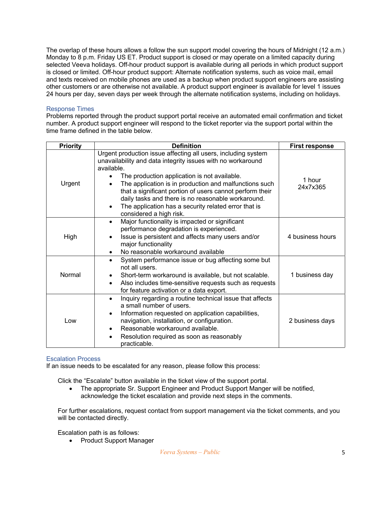The overlap of these hours allows a follow the sun support model covering the hours of Midnight (12 a.m.) Monday to 8 p.m. Friday US ET. Product support is closed or may operate on a limited capacity during selected Veeva holidays. Off-hour product support is available during all periods in which product support is closed or limited. Off-hour product support: Alternate notification systems, such as voice mail, email and texts received on mobile phones are used as a backup when product support engineers are assisting other customers or are otherwise not available. A product support engineer is available for level 1 issues 24 hours per day, seven days per week through the alternate notification systems, including on holidays.

#### Response Times

Problems reported through the product support portal receive an automated email confirmation and ticket number. A product support engineer will respond to the ticket reporter via the support portal within the time frame defined in the table below.

| <b>Priority</b> | <b>Definition</b>                                                                                                                                                                                                                                                                                                                                                                                                                                                      | <b>First response</b> |
|-----------------|------------------------------------------------------------------------------------------------------------------------------------------------------------------------------------------------------------------------------------------------------------------------------------------------------------------------------------------------------------------------------------------------------------------------------------------------------------------------|-----------------------|
| Urgent          | Urgent production issue affecting all users, including system<br>unavailability and data integrity issues with no workaround<br>available.<br>The production application is not available.<br>The application is in production and malfunctions such<br>that a significant portion of users cannot perform their<br>daily tasks and there is no reasonable workaround.<br>The application has a security related error that is<br>$\bullet$<br>considered a high risk. | 1 hour<br>24x7x365    |
| High            | Major functionality is impacted or significant<br>$\bullet$<br>performance degradation is experienced.<br>Issue is persistent and affects many users and/or<br>major functionality<br>No reasonable workaround available                                                                                                                                                                                                                                               | 4 business hours      |
| Normal          | System performance issue or bug affecting some but<br>$\bullet$<br>not all users.<br>Short-term workaround is available, but not scalable.<br>Also includes time-sensitive requests such as requests<br>for feature activation or a data export.                                                                                                                                                                                                                       | 1 business day        |
| Low             | Inquiry regarding a routine technical issue that affects<br>$\bullet$<br>a small number of users.<br>Information requested on application capabilities,<br>navigation, installation, or configuration.<br>Reasonable workaround available.<br>$\bullet$<br>Resolution required as soon as reasonably<br>practicable.                                                                                                                                                   | 2 business days       |

### Escalation Process

If an issue needs to be escalated for any reason, please follow this process:

Click the "Escalate" button available in the ticket view of the support portal.

• The appropriate Sr. Support Engineer and Product Support Manger will be notified, acknowledge the ticket escalation and provide next steps in the comments.

For further escalations, request contact from support management via the ticket comments, and you will be contacted directly.

Escalation path is as follows:

• Product Support Manager

*Veeva Systems – Public* 5